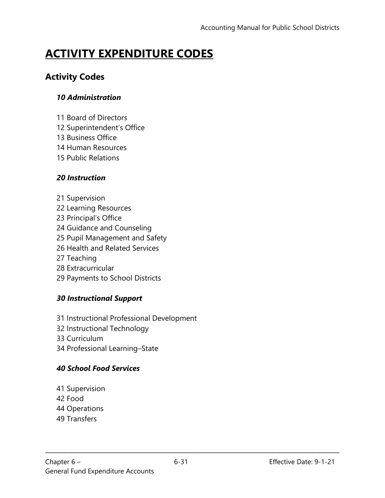# **ACTIVITY EXPENDITURE CODES**

# **Activity Codes**

#### *10 Administration*

- 11 Board of Directors
- 12 Superintendent's Office
- 13 Business Office
- 14 Human Resources
- 15 Public Relations

#### *20 Instruction*

- 21 Supervision
- 22 Learning Resources
- 23 Principal's Office
- 24 Guidance and Counseling
- 25 Pupil Management and Safety
- 26 Health and Related Services
- 27 Teaching
- 28 Extracurricular
- 29 Payments to School Districts

#### *30 Instructional Support*

- 31 Instructional Professional Development
- 32 Instructional Technology
- 33 Curriculum
- 34 Professional Learning–State

#### *40 School Food Services*

- 41 Supervision
- 42 Food
- 44 Operations
- 49 Transfers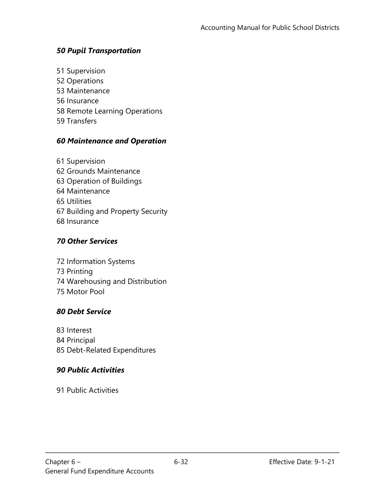#### *50 Pupil Transportation*

- 51 Supervision
- 52 Operations
- 53 Maintenance
- 56 Insurance
- 58 Remote Learning Operations
- 59 Transfers

#### *60 Maintenance and Operation*

61 Supervision 62 Grounds Maintenance 63 Operation of Buildings 64 Maintenance 65 Utilities 67 Building and Property Security 68 Insurance

#### *70 Other Services*

- 72 Information Systems 73 Printing 74 Warehousing and Distribution
- 75 Motor Pool

#### *80 Debt Service*

- 83 Interest
- 84 Principal
- 85 Debt-Related Expenditures

#### *90 Public Activities*

91 Public Activities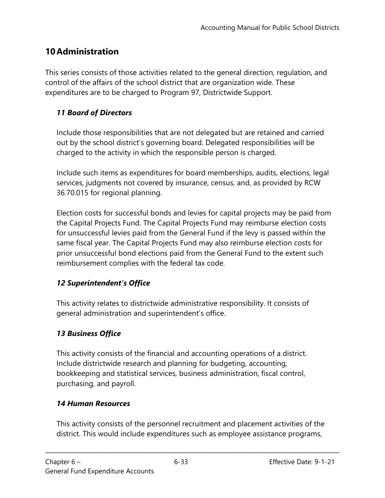# **10Administration**

This series consists of those activities related to the general direction, regulation, and control of the affairs of the school district that are organization wide. These expenditures are to be charged to Program 97, Districtwide Support.

### *11 Board of Directors*

Include those responsibilities that are not delegated but are retained and carried out by the school district's governing board. Delegated responsibilities will be charged to the activity in which the responsible person is charged.

Include such items as expenditures for board memberships, audits, elections, legal services, judgments not covered by insurance, census, and, as provided by RCW 36.70.015 for regional planning.

Election costs for successful bonds and levies for capital projects may be paid from the Capital Projects Fund. The Capital Projects Fund may reimburse election costs for unsuccessful levies paid from the General Fund if the levy is passed within the same fiscal year. The Capital Projects Fund may also reimburse election costs for prior unsuccessful bond elections paid from the General Fund to the extent such reimbursement complies with the federal tax code.

#### *12 Superintendent's Office*

This activity relates to districtwide administrative responsibility. It consists of general administration and superintendent's office.

#### *13 Business Office*

This activity consists of the financial and accounting operations of a district. Include districtwide research and planning for budgeting, accounting, bookkeeping and statistical services, business administration, fiscal control, purchasing, and payroll.

#### *14 Human Resources*

This activity consists of the personnel recruitment and placement activities of the district. This would include expenditures such as employee assistance programs,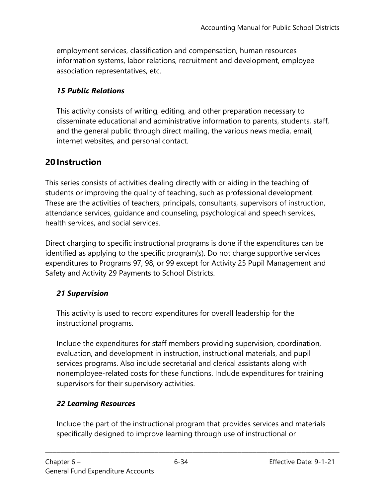employment services, classification and compensation, human resources information systems, labor relations, recruitment and development, employee association representatives, etc.

#### *15 Public Relations*

This activity consists of writing, editing, and other preparation necessary to disseminate educational and administrative information to parents, students, staff, and the general public through direct mailing, the various news media, email, internet websites, and personal contact.

# **20Instruction**

This series consists of activities dealing directly with or aiding in the teaching of students or improving the quality of teaching, such as professional development. These are the activities of teachers, principals, consultants, supervisors of instruction, attendance services, guidance and counseling, psychological and speech services, health services, and social services.

Direct charging to specific instructional programs is done if the expenditures can be identified as applying to the specific program(s). Do not charge supportive services expenditures to Programs 97, 98, or 99 except for Activity 25 Pupil Management and Safety and Activity 29 Payments to School Districts.

#### *21 Supervision*

This activity is used to record expenditures for overall leadership for the instructional programs.

Include the expenditures for staff members providing supervision, coordination, evaluation, and development in instruction, instructional materials, and pupil services programs. Also include secretarial and clerical assistants along with nonemployee-related costs for these functions. Include expenditures for training supervisors for their supervisory activities.

#### *22 Learning Resources*

Include the part of the instructional program that provides services and materials specifically designed to improve learning through use of instructional or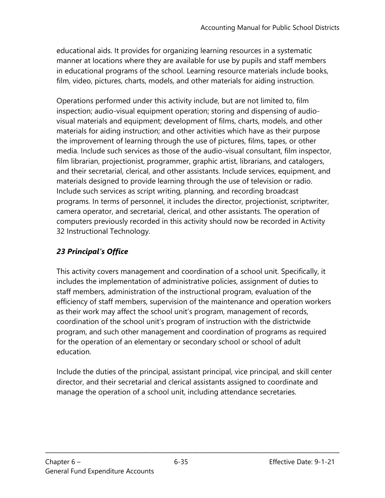educational aids. It provides for organizing learning resources in a systematic manner at locations where they are available for use by pupils and staff members in educational programs of the school. Learning resource materials include books, film, video, pictures, charts, models, and other materials for aiding instruction.

Operations performed under this activity include, but are not limited to, film inspection; audio-visual equipment operation; storing and dispensing of audiovisual materials and equipment; development of films, charts, models, and other materials for aiding instruction; and other activities which have as their purpose the improvement of learning through the use of pictures, films, tapes, or other media. Include such services as those of the audio-visual consultant, film inspector, film librarian, projectionist, programmer, graphic artist, librarians, and catalogers, and their secretarial, clerical, and other assistants. Include services, equipment, and materials designed to provide learning through the use of television or radio. Include such services as script writing, planning, and recording broadcast programs. In terms of personnel, it includes the director, projectionist, scriptwriter, camera operator, and secretarial, clerical, and other assistants. The operation of computers previously recorded in this activity should now be recorded in Activity 32 Instructional Technology.

# *23 Principal's Office*

This activity covers management and coordination of a school unit. Specifically, it includes the implementation of administrative policies, assignment of duties to staff members, administration of the instructional program, evaluation of the efficiency of staff members, supervision of the maintenance and operation workers as their work may affect the school unit's program, management of records, coordination of the school unit's program of instruction with the districtwide program, and such other management and coordination of programs as required for the operation of an elementary or secondary school or school of adult education.

Include the duties of the principal, assistant principal, vice principal, and skill center director, and their secretarial and clerical assistants assigned to coordinate and manage the operation of a school unit, including attendance secretaries.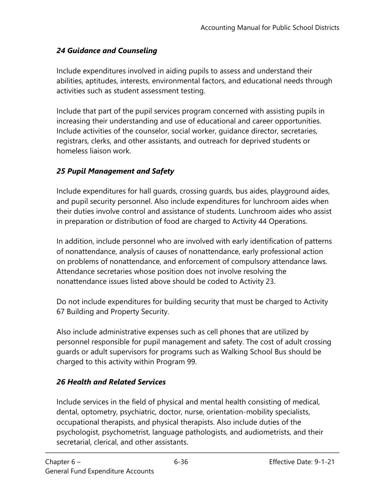### *24 Guidance and Counseling*

Include expenditures involved in aiding pupils to assess and understand their abilities, aptitudes, interests, environmental factors, and educational needs through activities such as student assessment testing.

Include that part of the pupil services program concerned with assisting pupils in increasing their understanding and use of educational and career opportunities. Include activities of the counselor, social worker, guidance director, secretaries, registrars, clerks, and other assistants, and outreach for deprived students or homeless liaison work.

### *25 Pupil Management and Safety*

Include expenditures for hall guards, crossing guards, bus aides, playground aides, and pupil security personnel. Also include expenditures for lunchroom aides when their duties involve control and assistance of students. Lunchroom aides who assist in preparation or distribution of food are charged to Activity 44 Operations.

In addition, include personnel who are involved with early identification of patterns of nonattendance, analysis of causes of nonattendance, early professional action on problems of nonattendance, and enforcement of compulsory attendance laws. Attendance secretaries whose position does not involve resolving the nonattendance issues listed above should be coded to Activity 23.

Do not include expenditures for building security that must be charged to Activity 67 Building and Property Security.

Also include administrative expenses such as cell phones that are utilized by personnel responsible for pupil management and safety. The cost of adult crossing guards or adult supervisors for programs such as Walking School Bus should be charged to this activity within Program 99.

#### *26 Health and Related Services*

Include services in the field of physical and mental health consisting of medical, dental, optometry, psychiatric, doctor, nurse, orientation-mobility specialists, occupational therapists, and physical therapists. Also include duties of the psychologist, psychometrist, language pathologists, and audiometrists, and their secretarial, clerical, and other assistants.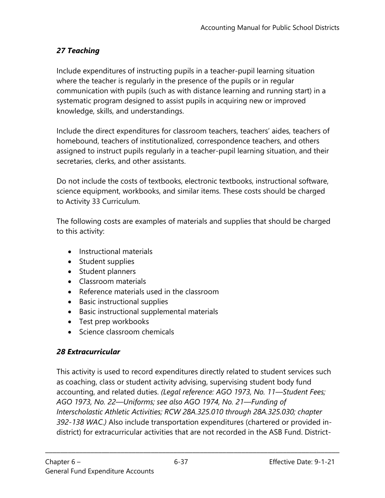### *27 Teaching*

Include expenditures of instructing pupils in a teacher-pupil learning situation where the teacher is regularly in the presence of the pupils or in regular communication with pupils (such as with distance learning and running start) in a systematic program designed to assist pupils in acquiring new or improved knowledge, skills, and understandings.

Include the direct expenditures for classroom teachers, teachers' aides, teachers of homebound, teachers of institutionalized, correspondence teachers, and others assigned to instruct pupils regularly in a teacher-pupil learning situation, and their secretaries, clerks, and other assistants.

Do not include the costs of textbooks, electronic textbooks, instructional software, science equipment, workbooks, and similar items. These costs should be charged to Activity 33 Curriculum.

The following costs are examples of materials and supplies that should be charged to this activity:

- Instructional materials
- Student supplies
- Student planners
- Classroom materials
- Reference materials used in the classroom
- Basic instructional supplies
- Basic instructional supplemental materials
- Test prep workbooks
- Science classroom chemicals

#### *28 Extracurricular*

This activity is used to record expenditures directly related to student services such as coaching, class or student activity advising, supervising student body fund accounting, and related duties. *(Legal reference: AGO 1973, No. 11—Student Fees; AGO 1973, No. 22—Uniforms; see also AGO 1974, No. 21—Funding of Interscholastic Athletic Activities; RCW 28A.325.010 through 28A.325.030; chapter 392-138 WAC.)* Also include transportation expenditures (chartered or provided indistrict) for extracurricular activities that are not recorded in the ASB Fund. District-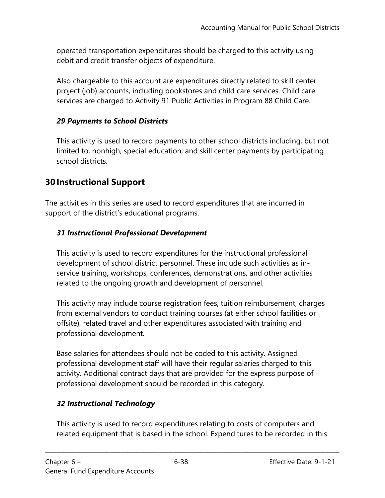operated transportation expenditures should be charged to this activity using debit and credit transfer objects of expenditure.

Also chargeable to this account are expenditures directly related to skill center project (job) accounts, including bookstores and child care services. Child care services are charged to Activity 91 Public Activities in Program 88 Child Care.

#### *29 Payments to School Districts*

This activity is used to record payments to other school districts including, but not limited to, nonhigh, special education, and skill center payments by participating school districts.

# **30Instructional Support**

The activities in this series are used to record expenditures that are incurred in support of the district's educational programs.

### *31 Instructional Professional Development*

This activity is used to record expenditures for the instructional professional development of school district personnel. These include such activities as inservice training, workshops, conferences, demonstrations, and other activities related to the ongoing growth and development of personnel.

This activity may include course registration fees, tuition reimbursement, charges from external vendors to conduct training courses (at either school facilities or offsite), related travel and other expenditures associated with training and professional development.

Base salaries for attendees should not be coded to this activity. Assigned professional development staff will have their regular salaries charged to this activity. Additional contract days that are provided for the express purpose of professional development should be recorded in this category.

# *32 Instructional Technology*

This activity is used to record expenditures relating to costs of computers and related equipment that is based in the school. Expenditures to be recorded in this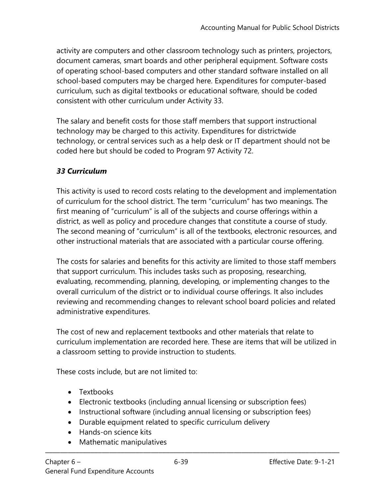activity are computers and other classroom technology such as printers, projectors, document cameras, smart boards and other peripheral equipment. Software costs of operating school-based computers and other standard software installed on all school-based computers may be charged here. Expenditures for computer-based curriculum, such as digital textbooks or educational software, should be coded consistent with other curriculum under Activity 33.

The salary and benefit costs for those staff members that support instructional technology may be charged to this activity. Expenditures for districtwide technology, or central services such as a help desk or IT department should not be coded here but should be coded to Program 97 Activity 72.

#### *33 Curriculum*

This activity is used to record costs relating to the development and implementation of curriculum for the school district. The term "curriculum" has two meanings. The first meaning of "curriculum" is all of the subjects and course offerings within a district, as well as policy and procedure changes that constitute a course of study. The second meaning of "curriculum" is all of the textbooks, electronic resources, and other instructional materials that are associated with a particular course offering.

The costs for salaries and benefits for this activity are limited to those staff members that support curriculum. This includes tasks such as proposing, researching, evaluating, recommending, planning, developing, or implementing changes to the overall curriculum of the district or to individual course offerings. It also includes reviewing and recommending changes to relevant school board policies and related administrative expenditures.

The cost of new and replacement textbooks and other materials that relate to curriculum implementation are recorded here. These are items that will be utilized in a classroom setting to provide instruction to students.

These costs include, but are not limited to:

- Textbooks
- Electronic textbooks (including annual licensing or subscription fees)
- Instructional software (including annual licensing or subscription fees)

- Durable equipment related to specific curriculum delivery
- Hands-on science kits
- Mathematic manipulatives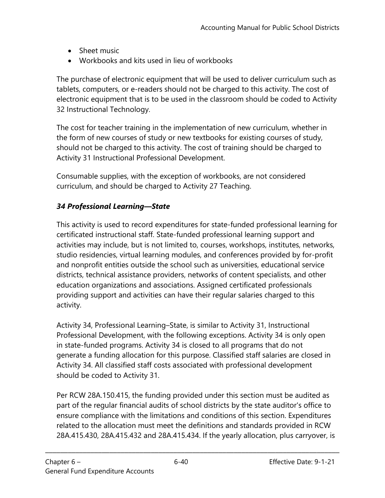- Sheet music
- Workbooks and kits used in lieu of workbooks

The purchase of electronic equipment that will be used to deliver curriculum such as tablets, computers, or e-readers should not be charged to this activity. The cost of electronic equipment that is to be used in the classroom should be coded to Activity 32 Instructional Technology.

The cost for teacher training in the implementation of new curriculum, whether in the form of new courses of study or new textbooks for existing courses of study, should not be charged to this activity. The cost of training should be charged to Activity 31 Instructional Professional Development.

Consumable supplies, with the exception of workbooks, are not considered curriculum, and should be charged to Activity 27 Teaching.

### *34 Professional Learning—State*

This activity is used to record expenditures for state-funded professional learning for certificated instructional staff. State-funded professional learning support and activities may include, but is not limited to, courses, workshops, institutes, networks, studio residencies, virtual learning modules, and conferences provided by for-profit and nonprofit entities outside the school such as universities, educational service districts, technical assistance providers, networks of content specialists, and other education organizations and associations. Assigned certificated professionals providing support and activities can have their regular salaries charged to this activity.

Activity 34, Professional Learning–State, is similar to Activity 31, Instructional Professional Development, with the following exceptions. Activity 34 is only open in state-funded programs. Activity 34 is closed to all programs that do not generate a funding allocation for this purpose. Classified staff salaries are closed in Activity 34. All classified staff costs associated with professional development should be coded to Activity 31.

Per RCW 28A.150.415, the funding provided under this section must be audited as part of the regular financial audits of school districts by the state auditor's office to ensure compliance with the limitations and conditions of this section. Expenditures related to the allocation must meet the definitions and standards provided in RCW 28A.415.430, 28A.415.432 and 28A.415.434. If the yearly allocation, plus carryover, is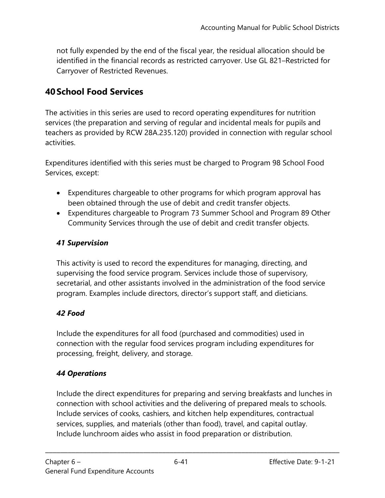not fully expended by the end of the fiscal year, the residual allocation should be identified in the financial records as restricted carryover. Use GL 821–Restricted for Carryover of Restricted Revenues.

# **40School Food Services**

The activities in this series are used to record operating expenditures for nutrition services (the preparation and serving of regular and incidental meals for pupils and teachers as provided by RCW 28A.235.120) provided in connection with regular school activities.

Expenditures identified with this series must be charged to Program 98 School Food Services, except:

- Expenditures chargeable to other programs for which program approval has been obtained through the use of debit and credit transfer objects.
- Expenditures chargeable to Program 73 Summer School and Program 89 Other Community Services through the use of debit and credit transfer objects.

#### *41 Supervision*

This activity is used to record the expenditures for managing, directing, and supervising the food service program. Services include those of supervisory, secretarial, and other assistants involved in the administration of the food service program. Examples include directors, director's support staff, and dieticians.

#### *42 Food*

Include the expenditures for all food (purchased and commodities) used in connection with the regular food services program including expenditures for processing, freight, delivery, and storage.

#### *44 Operations*

Include the direct expenditures for preparing and serving breakfasts and lunches in connection with school activities and the delivering of prepared meals to schools. Include services of cooks, cashiers, and kitchen help expenditures, contractual services, supplies, and materials (other than food), travel, and capital outlay. Include lunchroom aides who assist in food preparation or distribution.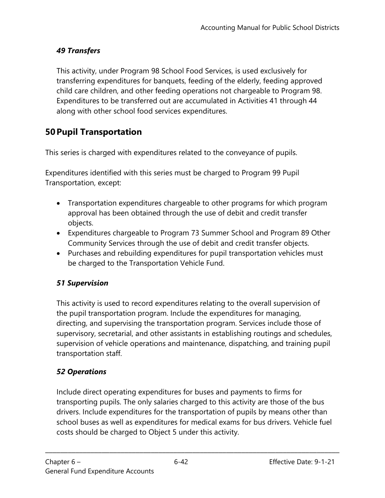### *49 Transfers*

This activity, under Program 98 School Food Services, is used exclusively for transferring expenditures for banquets, feeding of the elderly, feeding approved child care children, and other feeding operations not chargeable to Program 98. Expenditures to be transferred out are accumulated in Activities 41 through 44 along with other school food services expenditures.

# **50Pupil Transportation**

This series is charged with expenditures related to the conveyance of pupils.

Expenditures identified with this series must be charged to Program 99 Pupil Transportation, except:

- Transportation expenditures chargeable to other programs for which program approval has been obtained through the use of debit and credit transfer objects.
- Expenditures chargeable to Program 73 Summer School and Program 89 Other Community Services through the use of debit and credit transfer objects.
- Purchases and rebuilding expenditures for pupil transportation vehicles must be charged to the Transportation Vehicle Fund.

#### *51 Supervision*

This activity is used to record expenditures relating to the overall supervision of the pupil transportation program. Include the expenditures for managing, directing, and supervising the transportation program. Services include those of supervisory, secretarial, and other assistants in establishing routings and schedules, supervision of vehicle operations and maintenance, dispatching, and training pupil transportation staff.

# *52 Operations*

Include direct operating expenditures for buses and payments to firms for transporting pupils. The only salaries charged to this activity are those of the bus drivers. Include expenditures for the transportation of pupils by means other than school buses as well as expenditures for medical exams for bus drivers. Vehicle fuel costs should be charged to Object 5 under this activity.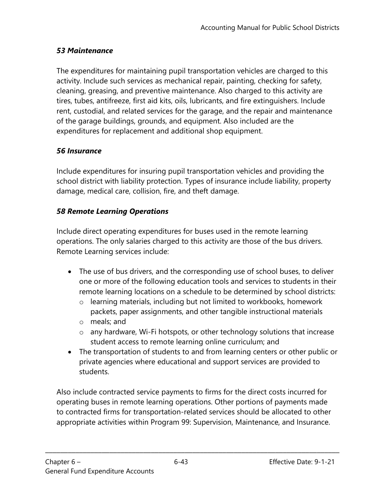#### *53 Maintenance*

The expenditures for maintaining pupil transportation vehicles are charged to this activity. Include such services as mechanical repair, painting, checking for safety, cleaning, greasing, and preventive maintenance. Also charged to this activity are tires, tubes, antifreeze, first aid kits, oils, lubricants, and fire extinguishers. Include rent, custodial, and related services for the garage, and the repair and maintenance of the garage buildings, grounds, and equipment. Also included are the expenditures for replacement and additional shop equipment.

#### *56 Insurance*

Include expenditures for insuring pupil transportation vehicles and providing the school district with liability protection. Types of insurance include liability, property damage, medical care, collision, fire, and theft damage.

#### *58 Remote Learning Operations*

Include direct operating expenditures for buses used in the remote learning operations. The only salaries charged to this activity are those of the bus drivers. Remote Learning services include:

- The use of bus drivers, and the corresponding use of school buses, to deliver one or more of the following education tools and services to students in their remote learning locations on a schedule to be determined by school districts:
	- o learning materials, including but not limited to workbooks, homework packets, paper assignments, and other tangible instructional materials
	- o meals; and
	- o any hardware, Wi-Fi hotspots, or other technology solutions that increase student access to remote learning online curriculum; and
- The transportation of students to and from learning centers or other public or private agencies where educational and support services are provided to students.

Also include contracted service payments to firms for the direct costs incurred for operating buses in remote learning operations. Other portions of payments made to contracted firms for transportation-related services should be allocated to other appropriate activities within Program 99: Supervision, Maintenance, and Insurance.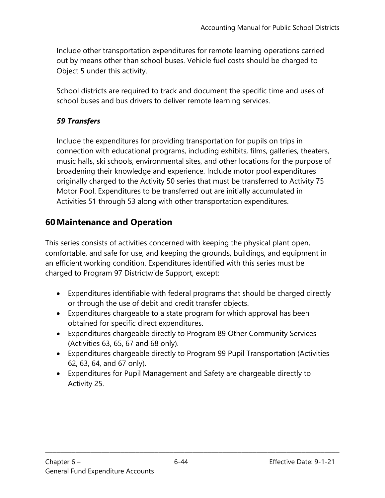Include other transportation expenditures for remote learning operations carried out by means other than school buses. Vehicle fuel costs should be charged to Object 5 under this activity.

School districts are required to track and document the specific time and uses of school buses and bus drivers to deliver remote learning services.

### *59 Transfers*

Include the expenditures for providing transportation for pupils on trips in connection with educational programs, including exhibits, films, galleries, theaters, music halls, ski schools, environmental sites, and other locations for the purpose of broadening their knowledge and experience. Include motor pool expenditures originally charged to the Activity 50 series that must be transferred to Activity 75 Motor Pool. Expenditures to be transferred out are initially accumulated in Activities 51 through 53 along with other transportation expenditures.

# **60Maintenance and Operation**

This series consists of activities concerned with keeping the physical plant open, comfortable, and safe for use, and keeping the grounds, buildings, and equipment in an efficient working condition. Expenditures identified with this series must be charged to Program 97 Districtwide Support, except:

- Expenditures identifiable with federal programs that should be charged directly or through the use of debit and credit transfer objects.
- Expenditures chargeable to a state program for which approval has been obtained for specific direct expenditures.
- Expenditures chargeable directly to Program 89 Other Community Services (Activities 63, 65, 67 and 68 only).
- Expenditures chargeable directly to Program 99 Pupil Transportation (Activities 62, 63, 64, and 67 only).
- Expenditures for Pupil Management and Safety are chargeable directly to Activity 25.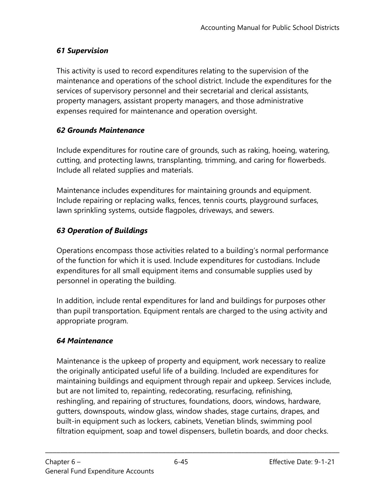### *61 Supervision*

This activity is used to record expenditures relating to the supervision of the maintenance and operations of the school district. Include the expenditures for the services of supervisory personnel and their secretarial and clerical assistants, property managers, assistant property managers, and those administrative expenses required for maintenance and operation oversight.

#### *62 Grounds Maintenance*

Include expenditures for routine care of grounds, such as raking, hoeing, watering, cutting, and protecting lawns, transplanting, trimming, and caring for flowerbeds. Include all related supplies and materials.

Maintenance includes expenditures for maintaining grounds and equipment. Include repairing or replacing walks, fences, tennis courts, playground surfaces, lawn sprinkling systems, outside flagpoles, driveways, and sewers.

# *63 Operation of Buildings*

Operations encompass those activities related to a building's normal performance of the function for which it is used. Include expenditures for custodians. Include expenditures for all small equipment items and consumable supplies used by personnel in operating the building.

In addition, include rental expenditures for land and buildings for purposes other than pupil transportation. Equipment rentals are charged to the using activity and appropriate program.

# *64 Maintenance*

Maintenance is the upkeep of property and equipment, work necessary to realize the originally anticipated useful life of a building. Included are expenditures for maintaining buildings and equipment through repair and upkeep. Services include, but are not limited to, repainting, redecorating, resurfacing, refinishing, reshingling, and repairing of structures, foundations, doors, windows, hardware, gutters, downspouts, window glass, window shades, stage curtains, drapes, and built-in equipment such as lockers, cabinets, Venetian blinds, swimming pool filtration equipment, soap and towel dispensers, bulletin boards, and door checks.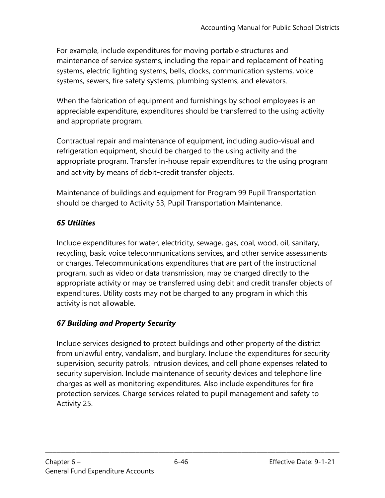For example, include expenditures for moving portable structures and maintenance of service systems, including the repair and replacement of heating systems, electric lighting systems, bells, clocks, communication systems, voice systems, sewers, fire safety systems, plumbing systems, and elevators.

When the fabrication of equipment and furnishings by school employees is an appreciable expenditure, expenditures should be transferred to the using activity and appropriate program.

Contractual repair and maintenance of equipment, including audio-visual and refrigeration equipment, should be charged to the using activity and the appropriate program. Transfer in-house repair expenditures to the using program and activity by means of debit-credit transfer objects.

Maintenance of buildings and equipment for Program 99 Pupil Transportation should be charged to Activity 53, Pupil Transportation Maintenance.

# *65 Utilities*

Include expenditures for water, electricity, sewage, gas, coal, wood, oil, sanitary, recycling, basic voice telecommunications services, and other service assessments or charges. Telecommunications expenditures that are part of the instructional program, such as video or data transmission, may be charged directly to the appropriate activity or may be transferred using debit and credit transfer objects of expenditures. Utility costs may not be charged to any program in which this activity is not allowable.

#### *67 Building and Property Security*

Include services designed to protect buildings and other property of the district from unlawful entry, vandalism, and burglary. Include the expenditures for security supervision, security patrols, intrusion devices, and cell phone expenses related to security supervision. Include maintenance of security devices and telephone line charges as well as monitoring expenditures. Also include expenditures for fire protection services. Charge services related to pupil management and safety to Activity 25.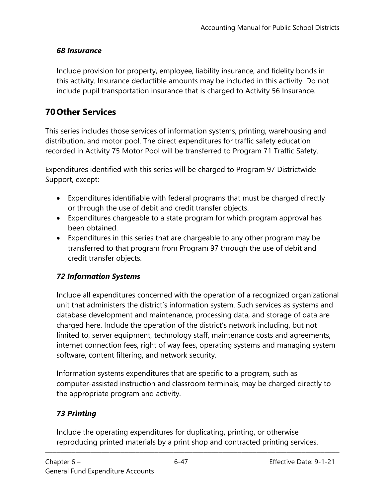#### *68 Insurance*

Include provision for property, employee, liability insurance, and fidelity bonds in this activity. Insurance deductible amounts may be included in this activity. Do not include pupil transportation insurance that is charged to Activity 56 Insurance.

# **70Other Services**

This series includes those services of information systems, printing, warehousing and distribution, and motor pool. The direct expenditures for traffic safety education recorded in Activity 75 Motor Pool will be transferred to Program 71 Traffic Safety.

Expenditures identified with this series will be charged to Program 97 Districtwide Support, except:

- Expenditures identifiable with federal programs that must be charged directly or through the use of debit and credit transfer objects.
- Expenditures chargeable to a state program for which program approval has been obtained.
- Expenditures in this series that are chargeable to any other program may be transferred to that program from Program 97 through the use of debit and credit transfer objects.

#### *72 Information Systems*

Include all expenditures concerned with the operation of a recognized organizational unit that administers the district's information system. Such services as systems and database development and maintenance, processing data, and storage of data are charged here. Include the operation of the district's network including, but not limited to, server equipment, technology staff, maintenance costs and agreements, internet connection fees, right of way fees, operating systems and managing system software, content filtering, and network security.

Information systems expenditures that are specific to a program, such as computer-assisted instruction and classroom terminals, may be charged directly to the appropriate program and activity.

# *73 Printing*

Include the operating expenditures for duplicating, printing, or otherwise reproducing printed materials by a print shop and contracted printing services.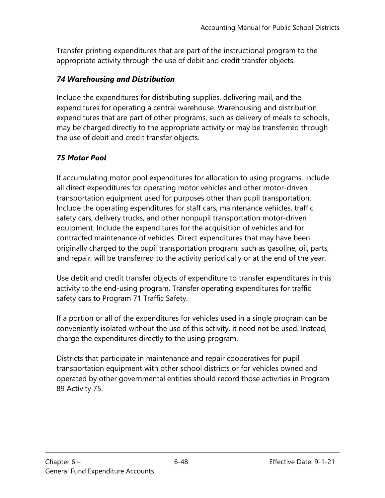Transfer printing expenditures that are part of the instructional program to the appropriate activity through the use of debit and credit transfer objects.

#### *74 Warehousing and Distribution*

Include the expenditures for distributing supplies, delivering mail, and the expenditures for operating a central warehouse. Warehousing and distribution expenditures that are part of other programs, such as delivery of meals to schools, may be charged directly to the appropriate activity or may be transferred through the use of debit and credit transfer objects.

#### *75 Motor Pool*

If accumulating motor pool expenditures for allocation to using programs, include all direct expenditures for operating motor vehicles and other motor-driven transportation equipment used for purposes other than pupil transportation. Include the operating expenditures for staff cars, maintenance vehicles, traffic safety cars, delivery trucks, and other nonpupil transportation motor-driven equipment. Include the expenditures for the acquisition of vehicles and for contracted maintenance of vehicles. Direct expenditures that may have been originally charged to the pupil transportation program, such as gasoline, oil, parts, and repair, will be transferred to the activity periodically or at the end of the year.

Use debit and credit transfer objects of expenditure to transfer expenditures in this activity to the end-using program. Transfer operating expenditures for traffic safety cars to Program 71 Traffic Safety.

If a portion or all of the expenditures for vehicles used in a single program can be conveniently isolated without the use of this activity, it need not be used. Instead, charge the expenditures directly to the using program.

Districts that participate in maintenance and repair cooperatives for pupil transportation equipment with other school districts or for vehicles owned and operated by other governmental entities should record those activities in Program 89 Activity 75.